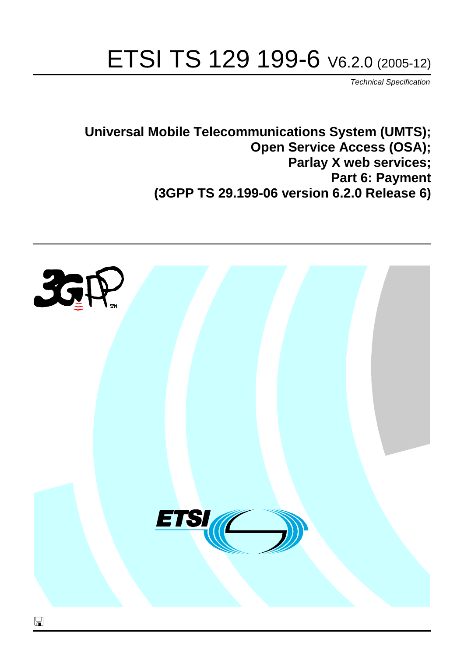# ETSI TS 129 199-6 V6.2.0 (2005-12)

Technical Specification

**Universal Mobile Telecommunications System (UMTS); Open Service Access (OSA); Parlay X web services; Part 6: Payment (3GPP TS 29.199-06 version 6.2.0 Release 6)**

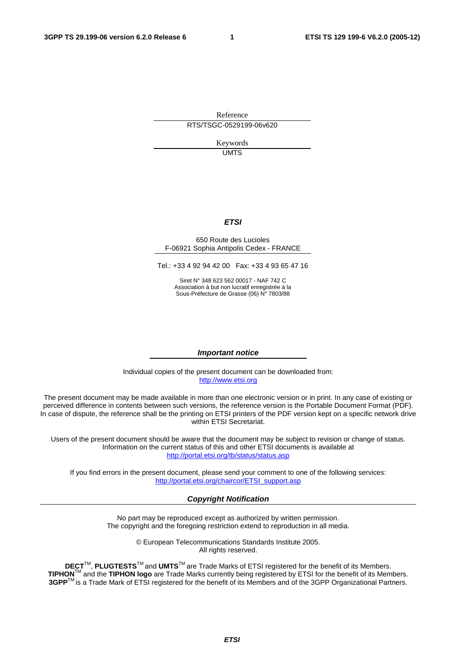Reference RTS/TSGC-0529199-06v620

> Keywords UMTS

#### **ETSI**

#### 650 Route des Lucioles F-06921 Sophia Antipolis Cedex - FRANCE

Tel.: +33 4 92 94 42 00 Fax: +33 4 93 65 47 16

Siret N° 348 623 562 00017 - NAF 742 C Association à but non lucratif enregistrée à la Sous-Préfecture de Grasse (06) N° 7803/88

#### **Important notice**

Individual copies of the present document can be downloaded from: [http://www.etsi.org](http://www.etsi.org/)

The present document may be made available in more than one electronic version or in print. In any case of existing or perceived difference in contents between such versions, the reference version is the Portable Document Format (PDF). In case of dispute, the reference shall be the printing on ETSI printers of the PDF version kept on a specific network drive within ETSI Secretariat.

Users of the present document should be aware that the document may be subject to revision or change of status. Information on the current status of this and other ETSI documents is available at <http://portal.etsi.org/tb/status/status.asp>

If you find errors in the present document, please send your comment to one of the following services: [http://portal.etsi.org/chaircor/ETSI\\_support.asp](http://portal.etsi.org/chaircor/ETSI_support.asp)

#### **Copyright Notification**

No part may be reproduced except as authorized by written permission. The copyright and the foregoing restriction extend to reproduction in all media.

> © European Telecommunications Standards Institute 2005. All rights reserved.

**DECT**TM, **PLUGTESTS**TM and **UMTS**TM are Trade Marks of ETSI registered for the benefit of its Members. **TIPHON**TM and the **TIPHON logo** are Trade Marks currently being registered by ETSI for the benefit of its Members. **3GPP**TM is a Trade Mark of ETSI registered for the benefit of its Members and of the 3GPP Organizational Partners.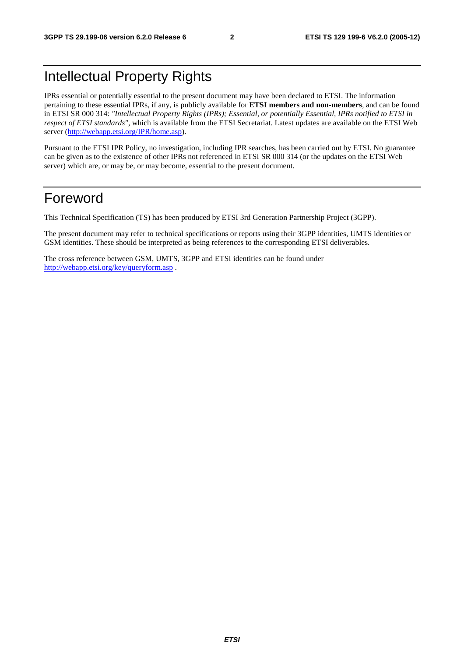## Intellectual Property Rights

IPRs essential or potentially essential to the present document may have been declared to ETSI. The information pertaining to these essential IPRs, if any, is publicly available for **ETSI members and non-members**, and can be found in ETSI SR 000 314: *"Intellectual Property Rights (IPRs); Essential, or potentially Essential, IPRs notified to ETSI in respect of ETSI standards"*, which is available from the ETSI Secretariat. Latest updates are available on the ETSI Web server ([http://webapp.etsi.org/IPR/home.asp\)](http://webapp.etsi.org/IPR/home.asp).

Pursuant to the ETSI IPR Policy, no investigation, including IPR searches, has been carried out by ETSI. No guarantee can be given as to the existence of other IPRs not referenced in ETSI SR 000 314 (or the updates on the ETSI Web server) which are, or may be, or may become, essential to the present document.

## Foreword

This Technical Specification (TS) has been produced by ETSI 3rd Generation Partnership Project (3GPP).

The present document may refer to technical specifications or reports using their 3GPP identities, UMTS identities or GSM identities. These should be interpreted as being references to the corresponding ETSI deliverables.

The cross reference between GSM, UMTS, 3GPP and ETSI identities can be found under <http://webapp.etsi.org/key/queryform.asp>.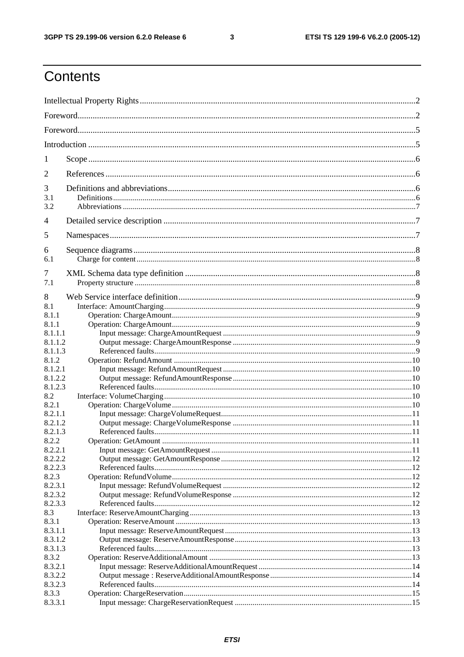$\mathbf{3}$ 

## Contents

| 1                |  |
|------------------|--|
| 2                |  |
| 3                |  |
| 3.1              |  |
| 3.2              |  |
| 4                |  |
| 5                |  |
| 6                |  |
| 6.1              |  |
| 7                |  |
| 7.1              |  |
|                  |  |
| 8                |  |
| 8.1<br>8.1.1     |  |
| 8.1.1            |  |
| 8.1.1.1          |  |
| 8.1.1.2          |  |
| 8.1.1.3          |  |
| 8.1.2            |  |
| 8.1.2.1          |  |
| 8.1.2.2          |  |
| 8.1.2.3          |  |
| 8.2              |  |
| 8.2.1            |  |
| 8.2.1.1          |  |
| 8.2.1.2          |  |
| 8.2.1.3          |  |
| 8.2.2            |  |
| 8.2.2.1          |  |
| 8.2.2.2          |  |
| 8.2.2.3          |  |
| 8.2.3            |  |
| 8.2.3.1          |  |
| 8.2.3.2          |  |
| 8.2.3.3          |  |
| 8.3              |  |
| 8.3.1            |  |
| 8.3.1.1          |  |
| 8.3.1.2          |  |
| 8.3.1.3<br>8.3.2 |  |
| 8.3.2.1          |  |
| 8.3.2.2          |  |
| 8.3.2.3          |  |
| 8.3.3            |  |
| 8.3.3.1          |  |
|                  |  |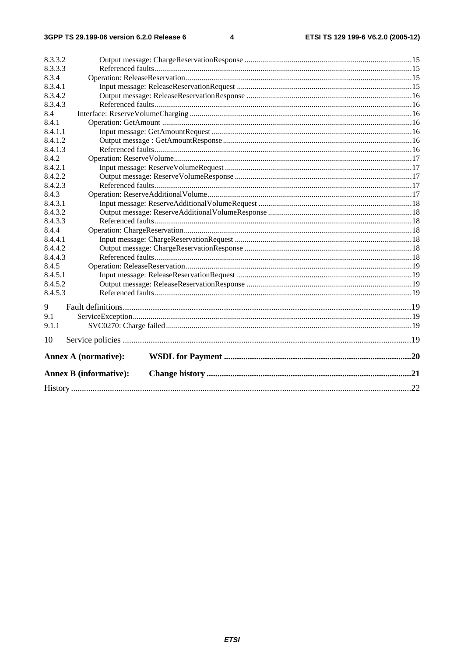#### $\overline{\mathbf{4}}$

| 8.3.3.2 |                               |  |
|---------|-------------------------------|--|
| 8.3.3.3 |                               |  |
| 8.3.4   |                               |  |
| 8.3.4.1 |                               |  |
| 8.3.4.2 |                               |  |
| 8.3.4.3 |                               |  |
| 8.4     |                               |  |
| 8.4.1   |                               |  |
| 8.4.1.1 |                               |  |
| 8.4.1.2 |                               |  |
| 8.4.1.3 |                               |  |
| 8.4.2   |                               |  |
| 8.4.2.1 |                               |  |
| 8.4.2.2 |                               |  |
| 8.4.2.3 |                               |  |
| 8.4.3   |                               |  |
| 8.4.3.1 |                               |  |
| 8.4.3.2 |                               |  |
| 8.4.3.3 |                               |  |
| 8.4.4   |                               |  |
| 8.4.4.1 |                               |  |
| 8.4.4.2 |                               |  |
| 8.4.4.3 |                               |  |
| 8.4.5   |                               |  |
| 8.4.5.1 |                               |  |
| 8.4.5.2 |                               |  |
| 8.4.5.3 |                               |  |
| 9       |                               |  |
| 9.1     |                               |  |
| 9.1.1   |                               |  |
| 10      |                               |  |
|         | <b>Annex A (normative):</b>   |  |
|         | <b>Annex B (informative):</b> |  |
|         |                               |  |
|         |                               |  |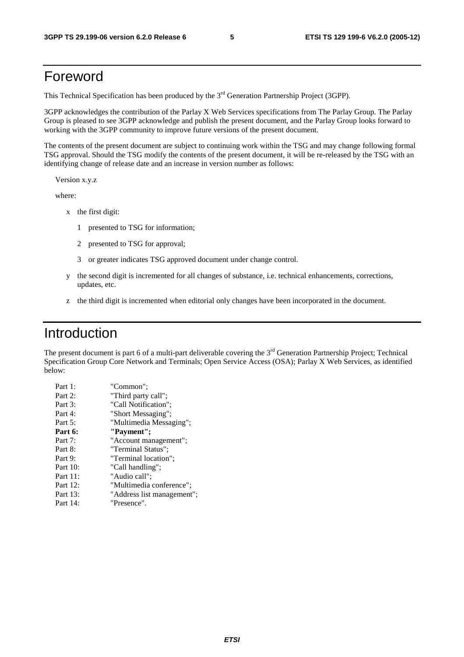## Foreword

This Technical Specification has been produced by the 3<sup>rd</sup> Generation Partnership Project (3GPP).

3GPP acknowledges the contribution of the Parlay X Web Services specifications from The Parlay Group. The Parlay Group is pleased to see 3GPP acknowledge and publish the present document, and the Parlay Group looks forward to working with the 3GPP community to improve future versions of the present document.

The contents of the present document are subject to continuing work within the TSG and may change following formal TSG approval. Should the TSG modify the contents of the present document, it will be re-released by the TSG with an identifying change of release date and an increase in version number as follows:

Version x.y.z

where:

- x the first digit:
	- 1 presented to TSG for information;
	- 2 presented to TSG for approval;
	- 3 or greater indicates TSG approved document under change control.
- y the second digit is incremented for all changes of substance, i.e. technical enhancements, corrections, updates, etc.
- z the third digit is incremented when editorial only changes have been incorporated in the document.

### Introduction

The present document is part 6 of a multi-part deliverable covering the  $3<sup>rd</sup>$  Generation Partnership Project; Technical Specification Group Core Network and Terminals; Open Service Access (OSA); Parlay X Web Services, as identified below:

| Part 1:  | "Common";                  |
|----------|----------------------------|
| Part 2:  | "Third party call";        |
| Part 3:  | "Call Notification";       |
| Part 4:  | "Short Messaging";         |
| Part 5:  | "Multimedia Messaging";    |
| Part 6:  | "Payment";                 |
| Part 7:  | "Account management";      |
| Part 8:  | "Terminal Status";         |
| Part 9:  | "Terminal location";       |
| Part 10: | "Call handling";           |
| Part 11: | "Audio call";              |
| Part 12: | "Multimedia conference";   |
| Part 13: | "Address list management"; |
| Part 14: | "Presence".                |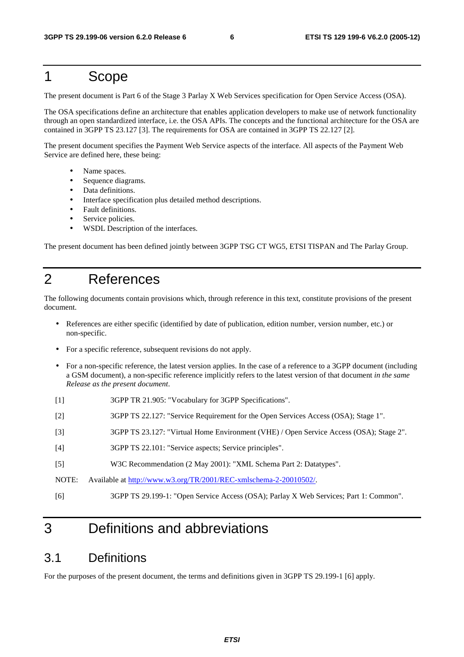### 1 Scope

The present document is Part 6 of the Stage 3 Parlay X Web Services specification for Open Service Access (OSA).

The OSA specifications define an architecture that enables application developers to make use of network functionality through an open standardized interface, i.e. the OSA APIs. The concepts and the functional architecture for the OSA are contained in 3GPP TS 23.127 [3]. The requirements for OSA are contained in 3GPP TS 22.127 [2].

The present document specifies the Payment Web Service aspects of the interface. All aspects of the Payment Web Service are defined here, these being:

- Name spaces.
- Sequence diagrams.
- Data definitions.
- Interface specification plus detailed method descriptions.
- Fault definitions.
- Service policies.
- WSDL Description of the interfaces.

The present document has been defined jointly between 3GPP TSG CT WG5, ETSI TISPAN and The Parlay Group.

## 2 References

The following documents contain provisions which, through reference in this text, constitute provisions of the present document.

- References are either specific (identified by date of publication, edition number, version number, etc.) or non-specific.
- For a specific reference, subsequent revisions do not apply.
- For a non-specific reference, the latest version applies. In the case of a reference to a 3GPP document (including a GSM document), a non-specific reference implicitly refers to the latest version of that document *in the same Release as the present document*.
- [1] 3GPP TR 21.905: "Vocabulary for 3GPP Specifications".
- [2] 3GPP TS 22.127: "Service Requirement for the Open Services Access (OSA); Stage 1".
- [3] 3GPP TS 23.127: "Virtual Home Environment (VHE) / Open Service Access (OSA); Stage 2".
- [4] 3GPP TS 22.101: "Service aspects; Service principles".
- [5] W3C Recommendation (2 May 2001): "XML Schema Part 2: Datatypes".

[6] 3GPP TS 29.199-1: "Open Service Access (OSA); Parlay X Web Services; Part 1: Common".

## 3 Definitions and abbreviations

### 3.1 Definitions

For the purposes of the present document, the terms and definitions given in 3GPP TS 29.199-1 [6] apply.

NOTE: Available at [http://www.w3.org/TR/2001/REC-xmlschema-2-20010502/.](http://www.w3.org/TR/2001/REC-xmlschema-2-20010502/)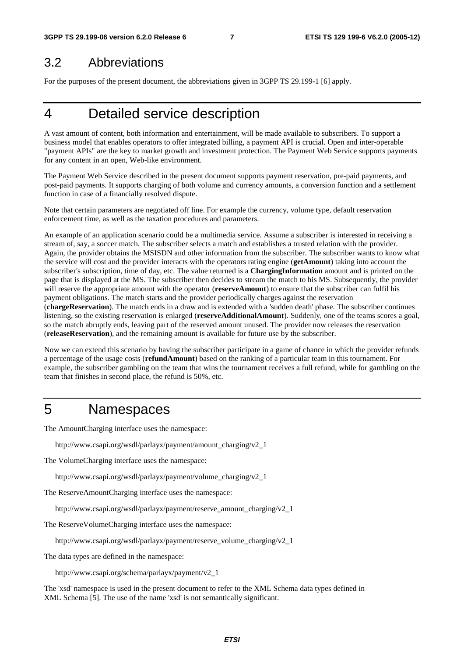### 3.2 Abbreviations

For the purposes of the present document, the abbreviations given in 3GPP TS 29.199-1 [6] apply.

## 4 Detailed service description

A vast amount of content, both information and entertainment, will be made available to subscribers. To support a business model that enables operators to offer integrated billing, a payment API is crucial. Open and inter-operable "payment APIs" are the key to market growth and investment protection. The Payment Web Service supports payments for any content in an open, Web-like environment.

The Payment Web Service described in the present document supports payment reservation, pre-paid payments, and post-paid payments. It supports charging of both volume and currency amounts, a conversion function and a settlement function in case of a financially resolved dispute.

Note that certain parameters are negotiated off line. For example the currency, volume type, default reservation enforcement time, as well as the taxation procedures and parameters.

An example of an application scenario could be a multimedia service. Assume a subscriber is interested in receiving a stream of, say, a soccer match. The subscriber selects a match and establishes a trusted relation with the provider. Again, the provider obtains the MSISDN and other information from the subscriber. The subscriber wants to know what the service will cost and the provider interacts with the operators rating engine (**getAmount**) taking into account the subscriber's subscription, time of day, etc. The value returned is a **ChargingInformation** amount and is printed on the page that is displayed at the MS. The subscriber then decides to stream the match to his MS. Subsequently, the provider will reserve the appropriate amount with the operator (**reserveAmount**) to ensure that the subscriber can fulfil his payment obligations. The match starts and the provider periodically charges against the reservation (**chargeReservation**). The match ends in a draw and is extended with a 'sudden death' phase. The subscriber continues listening, so the existing reservation is enlarged (**reserveAdditionalAmount**). Suddenly, one of the teams scores a goal, so the match abruptly ends, leaving part of the reserved amount unused. The provider now releases the reservation (**releaseReservation**), and the remaining amount is available for future use by the subscriber.

Now we can extend this scenario by having the subscriber participate in a game of chance in which the provider refunds a percentage of the usage costs (**refundAmount**) based on the ranking of a particular team in this tournament. For example, the subscriber gambling on the team that wins the tournament receives a full refund, while for gambling on the team that finishes in second place, the refund is 50%, etc.

## 5 Namespaces

The AmountCharging interface uses the namespace:

http://www.csapi.org/wsdl/parlayx/payment/amount\_charging/v2\_1

The VolumeCharging interface uses the namespace:

http://www.csapi.org/wsdl/parlayx/payment/volume\_charging/v2\_1

The ReserveAmountCharging interface uses the namespace:

http://www.csapi.org/wsdl/parlayx/payment/reserve\_amount\_charging/v2\_1

The ReserveVolumeCharging interface uses the namespace:

http://www.csapi.org/wsdl/parlayx/payment/reserve\_volume\_charging/v2\_1

The data types are defined in the namespace:

http://www.csapi.org/schema/parlayx/payment/v2\_1

The 'xsd' namespace is used in the present document to refer to the XML Schema data types defined in XML Schema [5]. The use of the name 'xsd' is not semantically significant.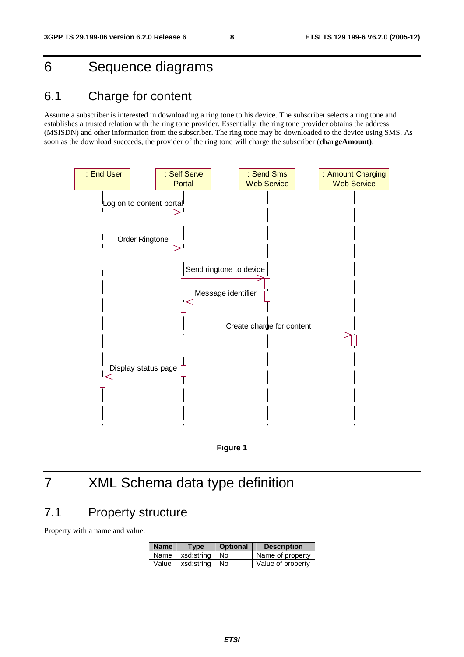## 6 Sequence diagrams

## 6.1 Charge for content

Assume a subscriber is interested in downloading a ring tone to his device. The subscriber selects a ring tone and establishes a trusted relation with the ring tone provider. Essentially, the ring tone provider obtains the address (MSISDN) and other information from the subscriber. The ring tone may be downloaded to the device using SMS. As soon as the download succeeds, the provider of the ring tone will charge the subscriber (**chargeAmount)**.





## 7 XML Schema data type definition

### 7.1 Property structure

Property with a name and value.

| <b>Name</b> | Type                    | <b>Optional</b> | <b>Description</b> |
|-------------|-------------------------|-----------------|--------------------|
|             | Name   xsd:string   No  |                 | Name of property   |
|             | Value   xsd:string   No |                 | Value of property  |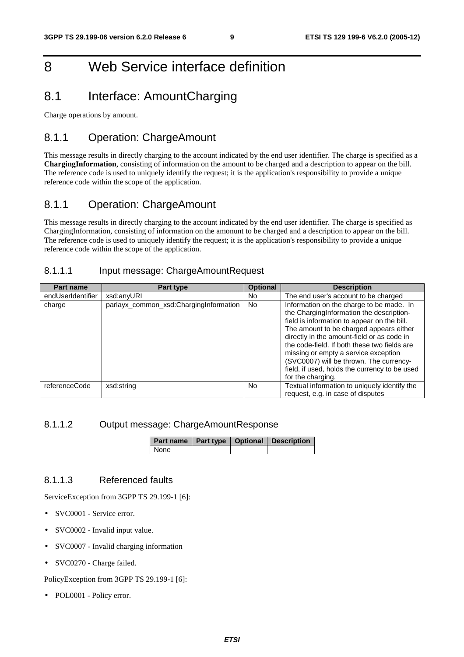## 8 Web Service interface definition

## 8.1 Interface: AmountCharging

Charge operations by amount.

### 8.1.1 Operation: ChargeAmount

This message results in directly charging to the account indicated by the end user identifier. The charge is specified as a **ChargingInformation**, consisting of information on the amount to be charged and a description to appear on the bill. The reference code is used to uniquely identify the request; it is the application's responsibility to provide a unique reference code within the scope of the application.

### 8.1.1 Operation: ChargeAmount

This message results in directly charging to the account indicated by the end user identifier. The charge is specified as ChargingInformation, consisting of information on the amonunt to be charged and a description to appear on the bill. The reference code is used to uniquely identify the request; it is the application's responsibility to provide a unique reference code within the scope of the application.

#### 8.1.1.1 Input message: ChargeAmountRequest

| Part name         | Part type                              | <b>Optional</b> | <b>Description</b>                                                                                                                                                                                                                                                                                                                                                                                                                    |
|-------------------|----------------------------------------|-----------------|---------------------------------------------------------------------------------------------------------------------------------------------------------------------------------------------------------------------------------------------------------------------------------------------------------------------------------------------------------------------------------------------------------------------------------------|
| endUserIdentifier | xsd:anyURI                             | No.             | The end user's account to be charged                                                                                                                                                                                                                                                                                                                                                                                                  |
| charge            | parlayx_common_xsd:ChargingInformation | <b>No</b>       | Information on the charge to be made. In<br>the ChargingInformation the description-<br>field is information to appear on the bill.<br>The amount to be charged appears either<br>directly in the amount-field or as code in<br>the code-field. If both these two fields are<br>missing or empty a service exception<br>(SVC0007) will be thrown. The currency-<br>field, if used, holds the currency to be used<br>for the charging. |
| referenceCode     | xsd:string                             | No.             | Textual information to uniquely identify the<br>request, e.g. in case of disputes                                                                                                                                                                                                                                                                                                                                                     |

#### 8.1.1.2 Output message: ChargeAmountResponse

|        |  | <b>Part name   Part type   Optional   Description</b> |
|--------|--|-------------------------------------------------------|
| I None |  |                                                       |

#### 8.1.1.3 Referenced faults

ServiceException from 3GPP TS 29.199-1 [6]:

- SVC0001 Service error.
- SVC0002 Invalid input value.
- SVC0007 Invalid charging information
- SVC0270 Charge failed.

PolicyException from 3GPP TS 29.199-1 [6]:

POL0001 - Policy error.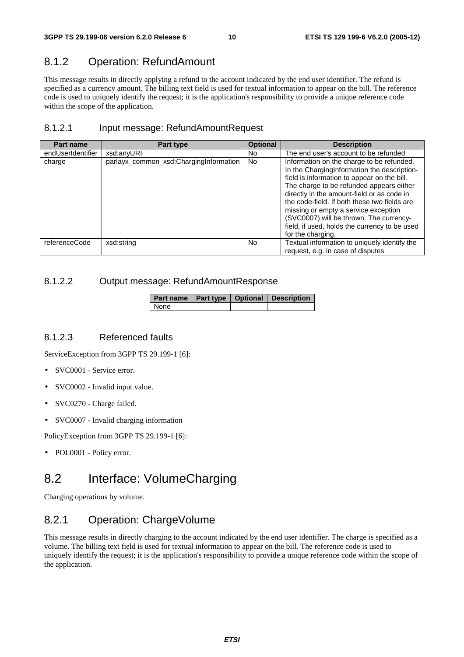### 8.1.2 Operation: RefundAmount

This message results in directly applying a refund to the account indicated by the end user identifier. The refund is specified as a currency amount. The billing text field is used for textual information to appear on the bill. The reference code is used to uniquely identify the request; it is the application's responsibility to provide a unique reference code within the scope of the application.

#### 8.1.2.1 Input message: RefundAmountRequest

| Part name         | Part type                              | <b>Optional</b> | <b>Description</b>                                                                                                                                                                                                                                                                                                                                                                                                                         |
|-------------------|----------------------------------------|-----------------|--------------------------------------------------------------------------------------------------------------------------------------------------------------------------------------------------------------------------------------------------------------------------------------------------------------------------------------------------------------------------------------------------------------------------------------------|
| endUserIdentifier | xsd:anvURI                             | No.             | The end user's account to be refunded                                                                                                                                                                                                                                                                                                                                                                                                      |
| charge            | parlayx_common_xsd:ChargingInformation | No.             | Information on the charge to be refunded.<br>In the ChargingInformation the description-<br>field is information to appear on the bill.<br>The charge to be refunded appears either<br>directly in the amount-field or as code in<br>the code-field. If both these two fields are<br>missing or empty a service exception<br>(SVC0007) will be thrown. The currency-<br>field, if used, holds the currency to be used<br>for the charging. |
| referenceCode     | xsd:string                             | No.             | Textual information to uniquely identify the<br>request, e.g. in case of disputes                                                                                                                                                                                                                                                                                                                                                          |

#### 8.1.2.2 Output message: RefundAmountResponse

|      |  | Part name   Part type   Optional   Description |
|------|--|------------------------------------------------|
| None |  |                                                |

#### 8.1.2.3 Referenced faults

ServiceException from 3GPP TS 29.199-1 [6]:

- SVC0001 Service error.
- SVC0002 Invalid input value.
- SVC0270 Charge failed.
- SVC0007 Invalid charging information

PolicyException from 3GPP TS 29.199-1 [6]:

• POL0001 - Policy error.

## 8.2 Interface: VolumeCharging

Charging operations by volume.

#### 8.2.1 Operation: ChargeVolume

This message results in directly charging to the account indicated by the end user identifier. The charge is specified as a volume. The billing text field is used for textual information to appear on the bill. The reference code is used to uniquely identify the request; it is the application's responsibility to provide a unique reference code within the scope of the application.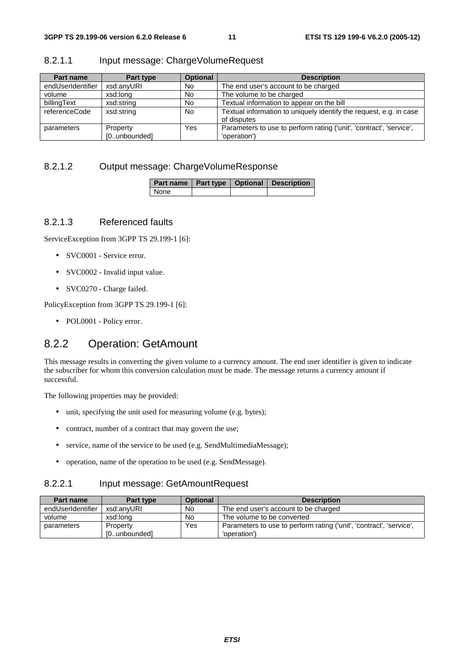| Part name         | Part type    | <b>Optional</b> | <b>Description</b>                                                                |
|-------------------|--------------|-----------------|-----------------------------------------------------------------------------------|
| endUserIdentifier | xsd:anyURI   | No              | The end user's account to be charged                                              |
| volume            | xsd:long     | No              | The volume to be charged                                                          |
| billingText       | xsd:string   | No              | Textual information to appear on the bill                                         |
| referenceCode     | xsd:string   | <b>No</b>       | Textual information to uniquely identify the request, e.g. in case<br>of disputes |
| parameters        | Property     | Yes             | Parameters to use to perform rating ('unit', 'contract', 'service',               |
|                   | [0unbounded] |                 | 'operation')                                                                      |

#### 8.2.1.1 Input message: ChargeVolumeRequest

#### 8.2.1.2 Output message: ChargeVolumeResponse

|      |  | Part name   Part type   Optional   Description |
|------|--|------------------------------------------------|
| None |  |                                                |

#### 8.2.1.3 Referenced faults

ServiceException from 3GPP TS 29.199-1 [6]:

- SVC0001 Service error.
- SVC0002 Invalid input value.
- SVC0270 Charge failed.

PolicyException from 3GPP TS 29.199-1 [6]:

• POL0001 - Policy error.

#### 8.2.2 Operation: GetAmount

This message results in converting the given volume to a currency amount. The end user identifier is given to indicate the subscriber for whom this conversion calculation must be made. The message returns a currency amount if successful.

The following properties may be provided:

- unit, specifying the unit used for measuring volume (e.g. bytes);
- contract, number of a contract that may govern the use;
- service, name of the service to be used (e.g. SendMultimediaMessage);
- operation, name of the operation to be used (e.g. SendMessage).

#### 8.2.2.1 Input message: GetAmountRequest

| Part name         | Part type    | <b>Optional</b> | <b>Description</b>                                                  |
|-------------------|--------------|-----------------|---------------------------------------------------------------------|
| endUserIdentifier | xsd:anvURI   | No              | The end user's account to be charged                                |
| volume            | xsd:long     | No              | The volume to be converted                                          |
| parameters        | Property     | Yes             | Parameters to use to perform rating ('unit', 'contract', 'service', |
|                   | [0unbounded] |                 | 'operation')                                                        |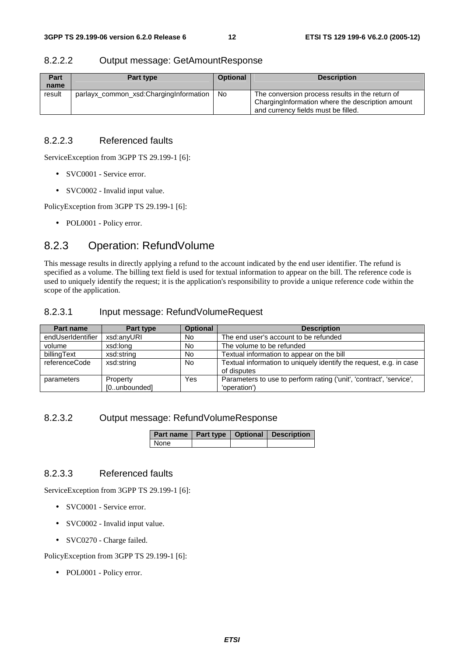#### 8.2.2.2 Output message: GetAmountResponse

| Part<br>name | Part type                              | <b>Optional</b> | <b>Description</b>                                                                                                                          |
|--------------|----------------------------------------|-----------------|---------------------------------------------------------------------------------------------------------------------------------------------|
| result       | parlayx_common_xsd:ChargingInformation | No.             | The conversion process results in the return of<br>Charging Information where the description amount<br>and currency fields must be filled. |

#### 8.2.2.3 Referenced faults

ServiceException from 3GPP TS 29.199-1 [6]:

- SVC0001 Service error.
- SVC0002 Invalid input value.

PolicyException from 3GPP TS 29.199-1 [6]:

• POL0001 - Policy error.

### 8.2.3 Operation: RefundVolume

This message results in directly applying a refund to the account indicated by the end user identifier. The refund is specified as a volume. The billing text field is used for textual information to appear on the bill. The reference code is used to uniquely identify the request; it is the application's responsibility to provide a unique reference code within the scope of the application.

#### 8.2.3.1 Input message: RefundVolumeRequest

| <b>Part name</b>  | Part type                | <b>Optional</b> | <b>Description</b>                                                                  |
|-------------------|--------------------------|-----------------|-------------------------------------------------------------------------------------|
| endUserIdentifier | xsd:anyURI               | No.             | The end user's account to be refunded                                               |
| volume            | xsd:long                 | <b>No</b>       | The volume to be refunded                                                           |
| billingText       | xsd:string               | <b>No</b>       | Textual information to appear on the bill                                           |
| referenceCode     | xsd:string               | <b>No</b>       | Textual information to uniquely identify the request, e.g. in case<br>of disputes   |
| parameters        | Property<br>[0unbounded] | Yes             | Parameters to use to perform rating ('unit', 'contract', 'service',<br>'operation') |

#### 8.2.3.2 Output message: RefundVolumeResponse

|      |  | Part name   Part type   Optional   Description |
|------|--|------------------------------------------------|
| None |  |                                                |

#### 8.2.3.3 Referenced faults

ServiceException from 3GPP TS 29.199-1 [6]:

- SVC0001 Service error.
- SVC0002 Invalid input value.
- SVC0270 Charge failed.

PolicyException from 3GPP TS 29.199-1 [6]:

• POL0001 - Policy error.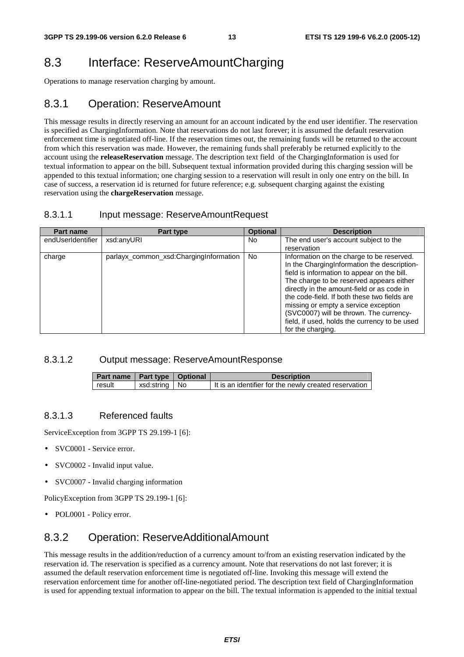## 8.3 Interface: ReserveAmountCharging

Operations to manage reservation charging by amount.

### 8.3.1 Operation: ReserveAmount

This message results in directly reserving an amount for an account indicated by the end user identifier. The reservation is specified as ChargingInformation. Note that reservations do not last forever; it is assumed the default reservation enforcement time is negotiated off-line. If the reservation times out, the remaining funds will be returned to the account from which this reservation was made. However, the remaining funds shall preferably be returned explicitly to the account using the **releaseReservation** message. The description text field of the ChargingInformation is used for textual information to appear on the bill. Subsequent textual information provided during this charging session will be appended to this textual information; one charging session to a reservation will result in only one entry on the bill. In case of success, a reservation id is returned for future reference; e.g. subsequent charging against the existing reservation using the **chargeReservation** message.

#### 8.3.1.1 Input message: ReserveAmountRequest

| Part name         | Part type                                | <b>Optional</b> | <b>Description</b>                                                                                                                                                                                                                                                                                                                                                                                                                         |
|-------------------|------------------------------------------|-----------------|--------------------------------------------------------------------------------------------------------------------------------------------------------------------------------------------------------------------------------------------------------------------------------------------------------------------------------------------------------------------------------------------------------------------------------------------|
| endUserIdentifier | xsd:anyURI                               | No.             | The end user's account subject to the<br>reservation                                                                                                                                                                                                                                                                                                                                                                                       |
| charge            | parlayx common xsd: Charging Information | No.             | Information on the charge to be reserved.<br>In the ChargingInformation the description-<br>field is information to appear on the bill.<br>The charge to be reserved appears either<br>directly in the amount-field or as code in<br>the code-field. If both these two fields are<br>missing or empty a service exception<br>(SVC0007) will be thrown. The currency-<br>field, if used, holds the currency to be used<br>for the charging. |

#### 8.3.1.2 Output message: ReserveAmountResponse

| Part name   Part type   Optional |                 | <b>Description</b>                                    |
|----------------------------------|-----------------|-------------------------------------------------------|
| <b>result</b>                    | xsd:string   No | It is an identifier for the newly created reservation |

#### 8.3.1.3 Referenced faults

ServiceException from 3GPP TS 29.199-1 [6]:

- SVC0001 Service error.
- SVC0002 Invalid input value.
- SVC0007 Invalid charging information

PolicyException from 3GPP TS 29.199-1 [6]:

• POL0001 - Policy error.

### 8.3.2 Operation: ReserveAdditionalAmount

This message results in the addition/reduction of a currency amount to/from an existing reservation indicated by the reservation id. The reservation is specified as a currency amount. Note that reservations do not last forever; it is assumed the default reservation enforcement time is negotiated off-line. Invoking this message will extend the reservation enforcement time for another off-line-negotiated period. The description text field of ChargingInformation is used for appending textual information to appear on the bill. The textual information is appended to the initial textual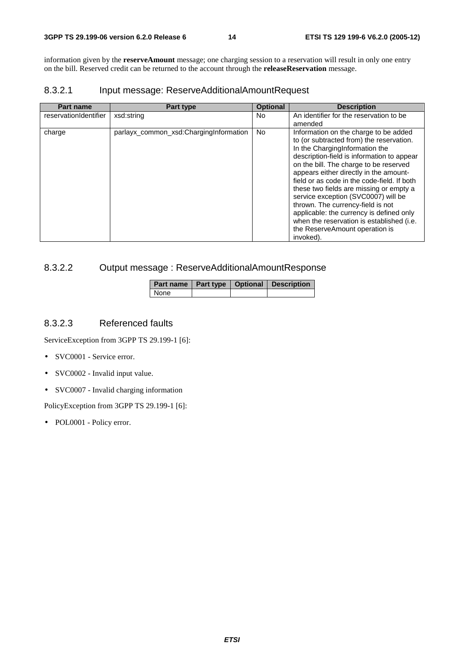information given by the **reserveAmount** message; one charging session to a reservation will result in only one entry on the bill. Reserved credit can be returned to the account through the **releaseReservation** message.

#### 8.3.2.1 Input message: ReserveAdditionalAmountRequest

| <b>Part name</b>      | Part type                              | <b>Optional</b> | <b>Description</b>                                                                                                                                                                                                                                                                                                                                                                                                                                                                                                                                                  |
|-----------------------|----------------------------------------|-----------------|---------------------------------------------------------------------------------------------------------------------------------------------------------------------------------------------------------------------------------------------------------------------------------------------------------------------------------------------------------------------------------------------------------------------------------------------------------------------------------------------------------------------------------------------------------------------|
| reservationIdentifier | xsd:string                             | No.             | An identifier for the reservation to be<br>amended                                                                                                                                                                                                                                                                                                                                                                                                                                                                                                                  |
| charge                | parlayx_common_xsd:ChargingInformation | No.             | Information on the charge to be added<br>to (or subtracted from) the reservation.<br>In the ChargingInformation the<br>description-field is information to appear<br>on the bill. The charge to be reserved<br>appears either directly in the amount-<br>field or as code in the code-field. If both<br>these two fields are missing or empty a<br>service exception (SVC0007) will be<br>thrown. The currency-field is not<br>applicable: the currency is defined only<br>when the reservation is established (i.e.<br>the ReserveAmount operation is<br>invoked). |

#### 8.3.2.2 Output message : ReserveAdditionalAmountResponse

|        |  | Part name   Part type   Optional   Description |
|--------|--|------------------------------------------------|
| l None |  |                                                |

#### 8.3.2.3 Referenced faults

ServiceException from 3GPP TS 29.199-1 [6]:

- SVC0001 Service error.
- SVC0002 Invalid input value.
- SVC0007 Invalid charging information

PolicyException from 3GPP TS 29.199-1 [6]:

• POL0001 - Policy error.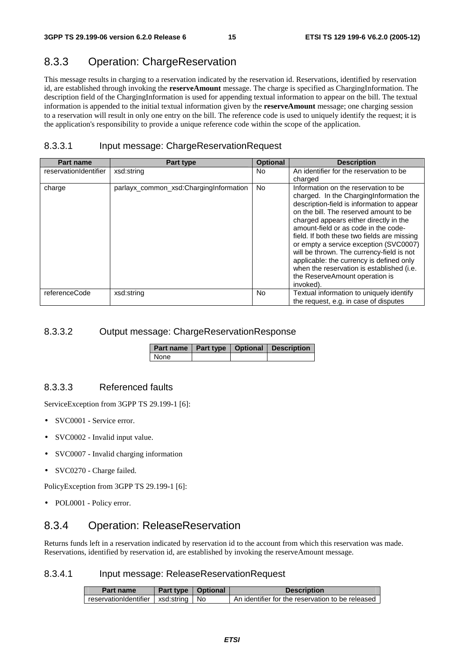### 8.3.3 Operation: ChargeReservation

This message results in charging to a reservation indicated by the reservation id. Reservations, identified by reservation id, are established through invoking the **reserveAmount** message. The charge is specified as ChargingInformation. The description field of the ChargingInformation is used for appending textual information to appear on the bill. The textual information is appended to the initial textual information given by the **reserveAmount** message; one charging session to a reservation will result in only one entry on the bill. The reference code is used to uniquely identify the request; it is the application's responsibility to provide a unique reference code within the scope of the application.

#### 8.3.3.1 Input message: ChargeReservationRequest

| <b>Part name</b>      | Part type                              | <b>Optional</b> | <b>Description</b>                                                                                                                                                                                                                                                                                                                                                                                                                                                                                                                       |
|-----------------------|----------------------------------------|-----------------|------------------------------------------------------------------------------------------------------------------------------------------------------------------------------------------------------------------------------------------------------------------------------------------------------------------------------------------------------------------------------------------------------------------------------------------------------------------------------------------------------------------------------------------|
| reservationIdentifier | xsd:string                             | No.             | An identifier for the reservation to be<br>charged                                                                                                                                                                                                                                                                                                                                                                                                                                                                                       |
| charge                | parlayx_common_xsd:ChargingInformation | No.             | Information on the reservation to be<br>charged. In the Charging Information the<br>description-field is information to appear<br>on the bill. The reserved amount to be<br>charged appears either directly in the<br>amount-field or as code in the code-<br>field. If both these two fields are missing<br>or empty a service exception (SVC0007)<br>will be thrown. The currency-field is not<br>applicable: the currency is defined only<br>when the reservation is established (i.e.<br>the ReserveAmount operation is<br>invoked). |
| referenceCode         | xsd:string                             | No              | Textual information to uniquely identify<br>the request, e.g. in case of disputes                                                                                                                                                                                                                                                                                                                                                                                                                                                        |

#### 8.3.3.2 Output message: ChargeReservationResponse

|             |  | Part name   Part type   Optional   Description |
|-------------|--|------------------------------------------------|
| <b>None</b> |  |                                                |

#### 8.3.3.3 Referenced faults

ServiceException from 3GPP TS 29.199-1 [6]:

- SVC0001 Service error.
- SVC0002 Invalid input value.
- SVC0007 Invalid charging information
- SVC0270 Charge failed.

PolicyException from 3GPP TS 29.199-1 [6]:

• POL0001 - Policy error.

#### 8.3.4 Operation: ReleaseReservation

Returns funds left in a reservation indicated by reservation id to the account from which this reservation was made. Reservations, identified by reservation id, are established by invoking the reserveAmount message.

#### 8.3.4.1 Input message: ReleaseReservationRequest

| Part name                               | Part type   Optional | <b>Description</b>                               |
|-----------------------------------------|----------------------|--------------------------------------------------|
| reservationIdentifier   xsd:string   No |                      | An identifier for the reservation to be released |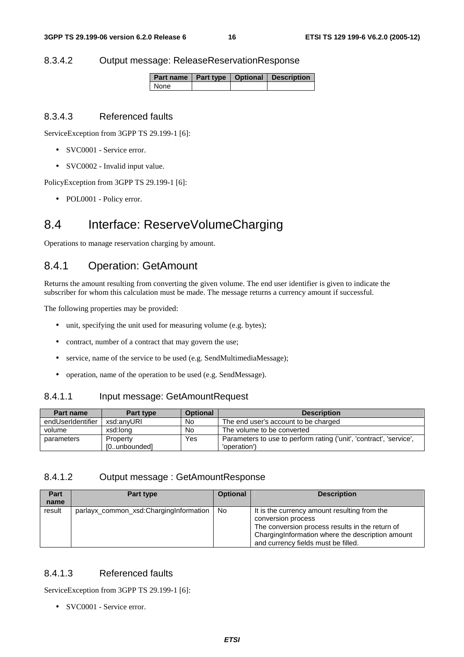#### 8.3.4.2 Output message: ReleaseReservationResponse

|        |  | Part name   Part type   Optional   Description |
|--------|--|------------------------------------------------|
| l None |  |                                                |

#### 8.3.4.3 Referenced faults

ServiceException from 3GPP TS 29.199-1 [6]:

- SVC0001 Service error.
- SVC0002 Invalid input value.

PolicyException from 3GPP TS 29.199-1 [6]:

• POL0001 - Policy error.

### 8.4 Interface: ReserveVolumeCharging

Operations to manage reservation charging by amount.

#### 8.4.1 Operation: GetAmount

Returns the amount resulting from converting the given volume. The end user identifier is given to indicate the subscriber for whom this calculation must be made. The message returns a currency amount if successful.

The following properties may be provided:

- unit, specifying the unit used for measuring volume (e.g. bytes);
- contract, number of a contract that may govern the use;
- service, name of the service to be used (e.g. SendMultimediaMessage);
- operation, name of the operation to be used (e.g. SendMessage).

#### 8.4.1.1 Input message: GetAmountRequest

| Part name         | Part type    | <b>Optional</b> | <b>Description</b>                                                  |
|-------------------|--------------|-----------------|---------------------------------------------------------------------|
| endUserIdentifier | xsd:anvURI   | No.             | The end user's account to be charged                                |
| volume            | xsd:long     | No.             | The volume to be converted                                          |
| parameters        | Property     | Yes             | Parameters to use to perform rating ('unit', 'contract', 'service', |
|                   | [0unbounded] |                 | 'operation')                                                        |

#### 8.4.1.2 Output message : GetAmountResponse

| Part<br>name | Part type                              | <b>Optional</b> | <b>Description</b>                                                                                                                                                                                                |
|--------------|----------------------------------------|-----------------|-------------------------------------------------------------------------------------------------------------------------------------------------------------------------------------------------------------------|
| result       | parlayx_common_xsd:ChargingInformation | No.             | It is the currency amount resulting from the<br>conversion process<br>The conversion process results in the return of<br>Charging Information where the description amount<br>and currency fields must be filled. |

#### 8.4.1.3 Referenced faults

ServiceException from 3GPP TS 29.199-1 [6]:

• SVC0001 - Service error.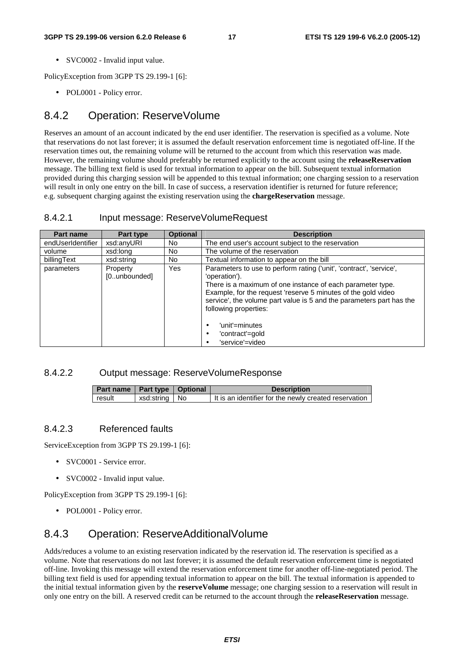• SVC0002 - Invalid input value.

PolicyException from 3GPP TS 29.199-1 [6]:

• POL0001 - Policy error.

### 8.4.2 Operation: ReserveVolume

Reserves an amount of an account indicated by the end user identifier. The reservation is specified as a volume. Note that reservations do not last forever; it is assumed the default reservation enforcement time is negotiated off-line. If the reservation times out, the remaining volume will be returned to the account from which this reservation was made. However, the remaining volume should preferably be returned explicitly to the account using the **releaseReservation** message. The billing text field is used for textual information to appear on the bill. Subsequent textual information provided during this charging session will be appended to this textual information; one charging session to a reservation will result in only one entry on the bill. In case of success, a reservation identifier is returned for future reference; e.g. subsequent charging against the existing reservation using the **chargeReservation** message.

#### 8.4.2.1 Input message: ReserveVolumeRequest

| Part name         | Part type                | <b>Optional</b> | <b>Description</b>                                                                                                                                                                                                                                                                                                                                                                          |
|-------------------|--------------------------|-----------------|---------------------------------------------------------------------------------------------------------------------------------------------------------------------------------------------------------------------------------------------------------------------------------------------------------------------------------------------------------------------------------------------|
| endUserIdentifier | xsd:anyURI               | No.             | The end user's account subject to the reservation                                                                                                                                                                                                                                                                                                                                           |
| volume            | xsd:long                 | No.             | The volume of the reservation                                                                                                                                                                                                                                                                                                                                                               |
| billingText       | xsd:string               | No.             | Textual information to appear on the bill                                                                                                                                                                                                                                                                                                                                                   |
| parameters        | Property<br>[0unbounded] | Yes             | Parameters to use to perform rating ('unit', 'contract', 'service',<br>'operation').<br>There is a maximum of one instance of each parameter type.<br>Example, for the request 'reserve 5 minutes of the gold video<br>service', the volume part value is 5 and the parameters part has the<br>following properties:<br>'unit'=minutes<br>٠<br>'contract'=gold<br>٠<br>'service'=video<br>٠ |

#### 8.4.2.2 Output message: ReserveVolumeResponse

| Part name   Part type   Optional |                 | <b>Description</b>                                    |
|----------------------------------|-----------------|-------------------------------------------------------|
| result                           | xsd:string   No | It is an identifier for the newly created reservation |

#### 8.4.2.3 Referenced faults

ServiceException from 3GPP TS 29.199-1 [6]:

- SVC0001 Service error.
- SVC0002 Invalid input value.

PolicyException from 3GPP TS 29.199-1 [6]:

• POL0001 - Policy error.

### 8.4.3 Operation: ReserveAdditionalVolume

Adds/reduces a volume to an existing reservation indicated by the reservation id. The reservation is specified as a volume. Note that reservations do not last forever; it is assumed the default reservation enforcement time is negotiated off-line. Invoking this message will extend the reservation enforcement time for another off-line-negotiated period. The billing text field is used for appending textual information to appear on the bill. The textual information is appended to the initial textual information given by the **reserveVolume** message; one charging session to a reservation will result in only one entry on the bill. A reserved credit can be returned to the account through the **releaseReservation** message.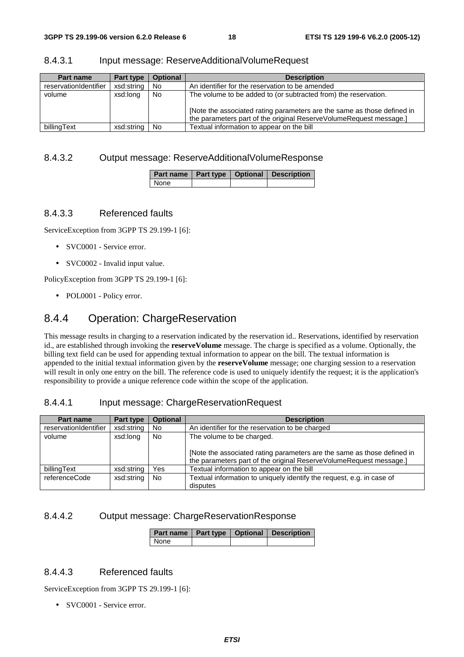| Part name             | Part type  | <b>Optional</b> | <b>Description</b>                                                                                                                                                                                               |
|-----------------------|------------|-----------------|------------------------------------------------------------------------------------------------------------------------------------------------------------------------------------------------------------------|
| reservationIdentifier | xsd:string | No              | An identifier for the reservation to be amended                                                                                                                                                                  |
| volume                | xsd:long   | No              | The volume to be added to (or subtracted from) the reservation.<br>[Note the associated rating parameters are the same as those defined in<br>the parameters part of the original ReserveVolumeRequest message.] |
| billingText           | xsd:string | No.             | Textual information to appear on the bill                                                                                                                                                                        |

#### 8.4.3.1 Input message: ReserveAdditionalVolumeRequest

#### 8.4.3.2 Output message: ReserveAdditionalVolumeResponse

|      |  | Part name   Part type   Optional   Description |
|------|--|------------------------------------------------|
| None |  |                                                |

#### 8.4.3.3 Referenced faults

ServiceException from 3GPP TS 29.199-1 [6]:

- SVC0001 Service error.
- SVC0002 Invalid input value.

PolicyException from 3GPP TS 29.199-1 [6]:

• POL0001 - Policy error.

#### 8.4.4 Operation: ChargeReservation

This message results in charging to a reservation indicated by the reservation id.. Reservations, identified by reservation id., are established through invoking the **reserveVolume** message. The charge is specified as a volume. Optionally, the billing text field can be used for appending textual information to appear on the bill. The textual information is appended to the initial textual information given by the **reserveVolume** message; one charging session to a reservation will result in only one entry on the bill. The reference code is used to uniquely identify the request; it is the application's responsibility to provide a unique reference code within the scope of the application.

#### 8.4.4.1 Input message: ChargeReservationRequest

| <b>Part name</b>      | Part type  | <b>Optional</b> | <b>Description</b>                                                                                                                            |
|-----------------------|------------|-----------------|-----------------------------------------------------------------------------------------------------------------------------------------------|
| reservationIdentifier | xsd:string | <b>No</b>       | An identifier for the reservation to be charged                                                                                               |
| volume                | xsd:long   | <b>No</b>       | The volume to be charged.                                                                                                                     |
|                       |            |                 | [Note the associated rating parameters are the same as those defined in<br>the parameters part of the original ReserveVolumeRequest message.] |
| billingText           | xsd:string | Yes             | Textual information to appear on the bill                                                                                                     |
| referenceCode         | xsd:string | <b>No</b>       | Textual information to uniquely identify the request, e.g. in case of<br>disputes                                                             |

#### 8.4.4.2 Output message: ChargeReservationResponse

|      |  | Part name   Part type   Optional   Description |
|------|--|------------------------------------------------|
| None |  |                                                |

#### 8.4.4.3 Referenced faults

ServiceException from 3GPP TS 29.199-1 [6]:

• SVC0001 - Service error.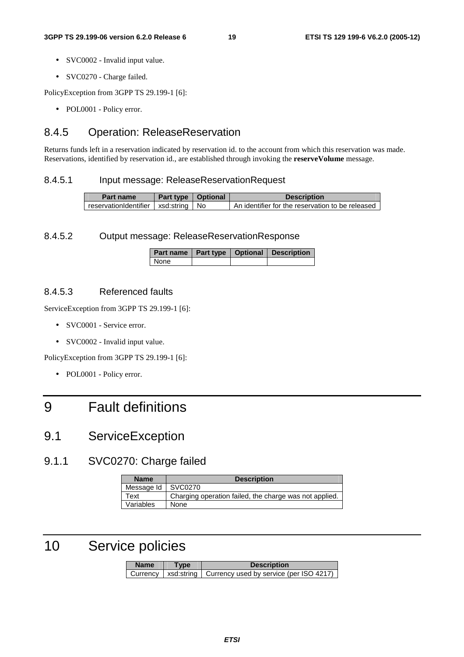- SVC0002 Invalid input value.
- SVC0270 Charge failed.

PolicyException from 3GPP TS 29.199-1 [6]:

• POL0001 - Policy error.

### 8.4.5 Operation: ReleaseReservation

Returns funds left in a reservation indicated by reservation id. to the account from which this reservation was made. Reservations, identified by reservation id., are established through invoking the **reserveVolume** message.

#### 8.4.5.1 Input message: ReleaseReservationRequest

| Part name                               | Part type   Optional | <b>Description</b>                                |
|-----------------------------------------|----------------------|---------------------------------------------------|
| reservationIdentifier   xsd:string   No |                      | LAn identifier for the reservation to be released |

#### 8.4.5.2 Output message: ReleaseReservationResponse

|      |  | Part name   Part type   Optional   Description |
|------|--|------------------------------------------------|
| None |  |                                                |

#### 8.4.5.3 Referenced faults

ServiceException from 3GPP TS 29.199-1 [6]:

- SVC0001 Service error.
- SVC0002 Invalid input value.

PolicyException from 3GPP TS 29.199-1 [6]:

• POL0001 - Policy error.

## 9 Fault definitions

## 9.1 ServiceException

### 9.1.1 SVC0270: Charge failed

| <b>Name</b> | <b>Description</b>                                     |
|-------------|--------------------------------------------------------|
| Message Id  | SVC0270                                                |
| Text        | Charging operation failed, the charge was not applied. |
| Variables   | None                                                   |

## 10 Service policies

| <b>Name</b> | <b>Type</b> | <b>Description</b>                                               |
|-------------|-------------|------------------------------------------------------------------|
|             |             | Currency   xsd: string   Currency used by service (per ISO 4217) |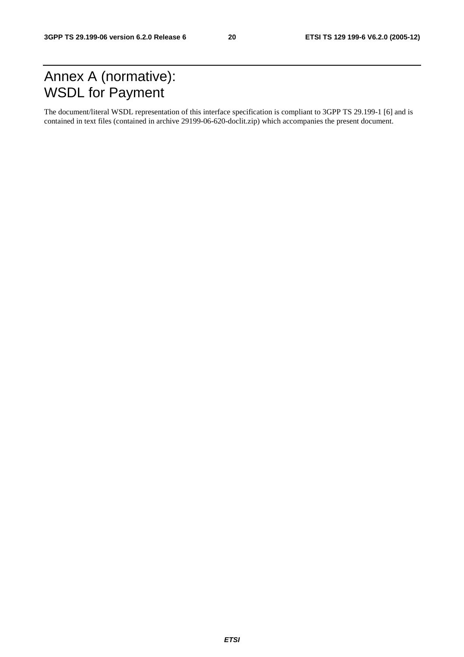## Annex A (normative): WSDL for Payment

The document/literal WSDL representation of this interface specification is compliant to 3GPP TS 29.199-1 [6] and is contained in text files (contained in archive 29199-06-620-doclit.zip) which accompanies the present document.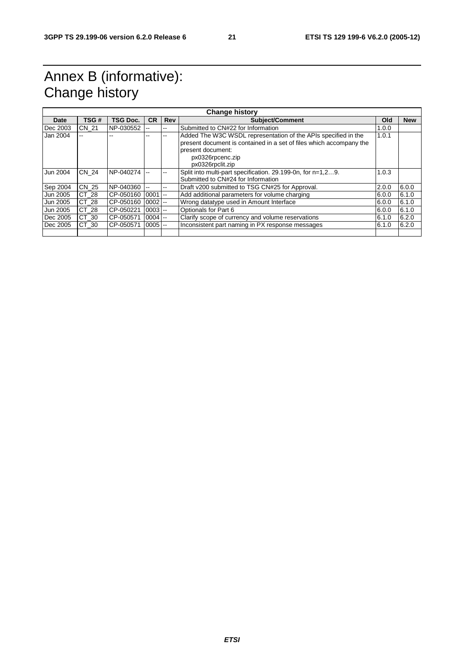## Annex B (informative): Change history

| <b>Change history</b> |                                                           |               |            |                                                                                                        |                                                                                                                                                                                                                                                                                                                         |            |
|-----------------------|-----------------------------------------------------------|---------------|------------|--------------------------------------------------------------------------------------------------------|-------------------------------------------------------------------------------------------------------------------------------------------------------------------------------------------------------------------------------------------------------------------------------------------------------------------------|------------|
| TSG#                  | <b>TSG Doc.</b>                                           | <b>CR</b>     | <b>Rev</b> | <b>Subject/Comment</b>                                                                                 | Old                                                                                                                                                                                                                                                                                                                     | <b>New</b> |
|                       | NP-030552                                                 |               | $- -$      | Submitted to CN#22 for Information                                                                     | 1.0.0                                                                                                                                                                                                                                                                                                                   |            |
|                       |                                                           |               |            | Added The W3C WSDL representation of the APIs specified in the<br>px0326rpcenc.zip<br>px0326rpclit.zip | 1.0.1                                                                                                                                                                                                                                                                                                                   |            |
|                       | NP-040274                                                 |               |            | Split into multi-part specification. 29.199-0n, for n=1,29.<br>Submitted to CN#24 for Information      | 1.0.3                                                                                                                                                                                                                                                                                                                   |            |
|                       | NP-040360                                                 | $\sim$ $\sim$ | --         |                                                                                                        | 2.0.0                                                                                                                                                                                                                                                                                                                   | 6.0.0      |
|                       | CP-050160                                                 |               |            | Add additional parameters for volume charging                                                          | 6.0.0                                                                                                                                                                                                                                                                                                                   | 6.1.0      |
| CT 28                 |                                                           |               |            |                                                                                                        | 6.0.0                                                                                                                                                                                                                                                                                                                   | 6.1.0      |
|                       | CP-050221                                                 |               |            |                                                                                                        | 6.0.0                                                                                                                                                                                                                                                                                                                   | 6.1.0      |
|                       | CP-050571                                                 |               |            |                                                                                                        | 6.1.0                                                                                                                                                                                                                                                                                                                   | 6.2.0      |
| CT 30                 | CP-050571                                                 |               |            |                                                                                                        | 6.1.0                                                                                                                                                                                                                                                                                                                   | 6.2.0      |
|                       | <b>CN 21</b><br>CN 24<br>CN 25<br>CT 28<br>CT 28<br>CT 30 |               | CP-050160  | $0001$ --<br>$0002$ --<br>$0003 -$<br>$0004 -$<br>$0005$ --                                            | present document is contained in a set of files which accompany the<br>present document:<br>Draft v200 submitted to TSG CN#25 for Approval.<br>Wrong datatype used in Amount Interface<br>Optionals for Part 6<br>Clarify scope of currency and volume reservations<br>Inconsistent part naming in PX response messages |            |